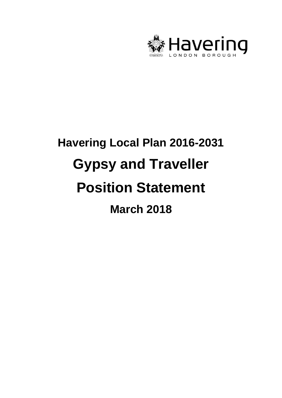

# **Havering Local Plan 2016-2031 Gypsy and Traveller Position Statement March 2018**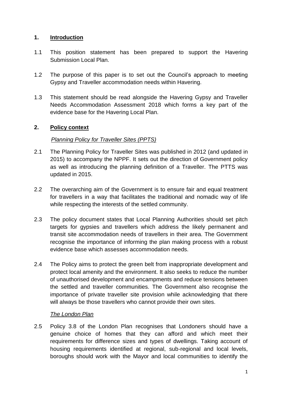## **1. Introduction**

- 1.1 This position statement has been prepared to support the Havering Submission Local Plan.
- 1.2 The purpose of this paper is to set out the Council's approach to meeting Gypsy and Traveller accommodation needs within Havering.
- 1.3 This statement should be read alongside the Havering Gypsy and Traveller Needs Accommodation Assessment 2018 which forms a key part of the evidence base for the Havering Local Plan.

# **2. Policy context**

## *Planning Policy for Traveller Sites (PPTS)*

- 2.1 The Planning Policy for Traveller Sites was published in 2012 (and updated in 2015) to accompany the NPPF. It sets out the direction of Government policy as well as introducing the planning definition of a Traveller. The PTTS was updated in 2015.
- 2.2 The overarching aim of the Government is to ensure fair and equal treatment for travellers in a way that facilitates the traditional and nomadic way of life while respecting the interests of the settled community.
- 2.3 The policy document states that Local Planning Authorities should set pitch targets for gypsies and travellers which address the likely permanent and transit site accommodation needs of travellers in their area. The Government recognise the importance of informing the plan making process with a robust evidence base which assesses accommodation needs.
- 2.4 The Policy aims to protect the green belt from inappropriate development and protect local amenity and the environment. It also seeks to reduce the number of unauthorised development and encampments and reduce tensions between the settled and traveller communities. The Government also recognise the importance of private traveller site provision while acknowledging that there will always be those travellers who cannot provide their own sites.

#### *The London Plan*

2.5 Policy 3.8 of the London Plan recognises that Londoners should have a genuine choice of homes that they can afford and which meet their requirements for difference sizes and types of dwellings. Taking account of housing requirements identified at regional, sub-regional and local levels, boroughs should work with the Mayor and local communities to identify the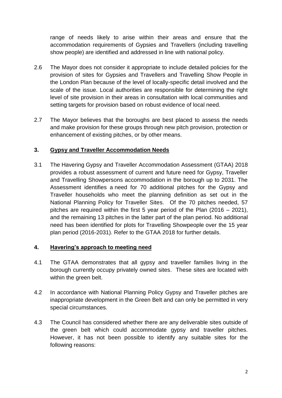range of needs likely to arise within their areas and ensure that the accommodation requirements of Gypsies and Travellers (including travelling show people) are identified and addressed in line with national policy.

- 2.6 The Mayor does not consider it appropriate to include detailed policies for the provision of sites for Gypsies and Travellers and Travelling Show People in the London Plan because of the level of locally-specific detail involved and the scale of the issue. Local authorities are responsible for determining the right level of site provision in their areas in consultation with local communities and setting targets for provision based on robust evidence of local need.
- 2.7 The Mayor believes that the boroughs are best placed to assess the needs and make provision for these groups through new pitch provision, protection or enhancement of existing pitches, or by other means.

#### **3. Gypsy and Traveller Accommodation Needs**

3.1 The Havering Gypsy and Traveller Accommodation Assessment (GTAA) 2018 provides a robust assessment of current and future need for Gypsy, Traveller and Travelling Showpersons accommodation in the borough up to 2031. The Assessment identifies a need for 70 additional pitches for the Gypsy and Traveller households who meet the planning definition as set out in the National Planning Policy for Traveller Sites. Of the 70 pitches needed, 57 pitches are required within the first 5 year period of the Plan (2016 – 2021), and the remaining 13 pitches in the latter part of the plan period. No additional need has been identified for plots for Travelling Showpeople over the 15 year plan period (2016-2031). Refer to the GTAA 2018 for further details.

#### **4. Havering's approach to meeting need**

- 4.1 The GTAA demonstrates that all gypsy and traveller families living in the borough currently occupy privately owned sites. These sites are located with within the green belt.
- 4.2 In accordance with National Planning Policy Gypsy and Traveller pitches are inappropriate development in the Green Belt and can only be permitted in very special circumstances.
- 4.3 The Council has considered whether there are any deliverable sites outside of the green belt which could accommodate gypsy and traveller pitches. However, it has not been possible to identify any suitable sites for the following reasons: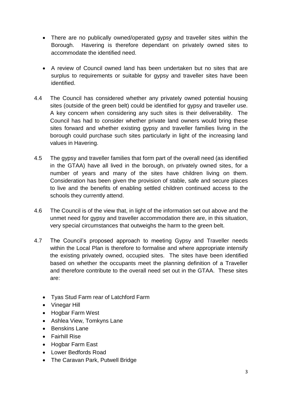- There are no publically owned/operated gypsy and traveller sites within the Borough. Havering is therefore dependant on privately owned sites to accommodate the identified need.
- A review of Council owned land has been undertaken but no sites that are surplus to requirements or suitable for gypsy and traveller sites have been identified.
- 4.4 The Council has considered whether any privately owned potential housing sites (outside of the green belt) could be identified for gypsy and traveller use. A key concern when considering any such sites is their deliverability. The Council has had to consider whether private land owners would bring these sites forward and whether existing gypsy and traveller families living in the borough could purchase such sites particularly in light of the increasing land values in Havering.
- 4.5 The gypsy and traveller families that form part of the overall need (as identified in the GTAA) have all lived in the borough, on privately owned sites, for a number of years and many of the sites have children living on them. Consideration has been given the provision of stable, safe and secure places to live and the benefits of enabling settled children continued access to the schools they currently attend.
- 4.6 The Council is of the view that, in light of the information set out above and the unmet need for gypsy and traveller accommodation there are, in this situation, very special circumstances that outweighs the harm to the green belt.
- 4.7 The Council's proposed approach to meeting Gypsy and Traveller needs within the Local Plan is therefore to formalise and where appropriate intensify the existing privately owned, occupied sites. The sites have been identified based on whether the occupants meet the planning definition of a Traveller and therefore contribute to the overall need set out in the GTAA. These sites are:
	- Tyas Stud Farm rear of Latchford Farm
	- Vinegar Hill
	- Hogbar Farm West
	- Ashlea View, Tomkyns Lane
	- Benskins Lane
	- Fairhill Rise
	- Hogbar Farm East
	- Lower Bedfords Road
	- The Caravan Park, Putwell Bridge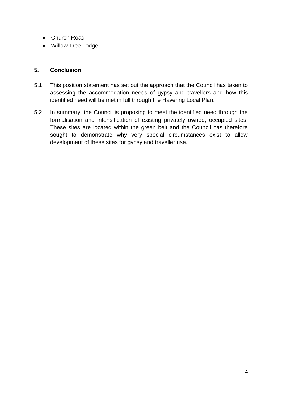- Church Road
- Willow Tree Lodge

### **5. Conclusion**

- 5.1 This position statement has set out the approach that the Council has taken to assessing the accommodation needs of gypsy and travellers and how this identified need will be met in full through the Havering Local Plan.
- 5.2 In summary, the Council is proposing to meet the identified need through the formalisation and intensification of existing privately owned, occupied sites. These sites are located within the green belt and the Council has therefore sought to demonstrate why very special circumstances exist to allow development of these sites for gypsy and traveller use.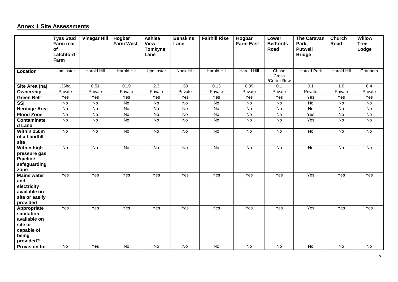# **Annex 1 Site Assessments**

|                                                                                          | <b>Tyas Stud</b><br>Farm rear<br>of | <b>Vinegar Hill</b> | Hogbar<br><b>Farm West</b> | Ashlea<br>View,<br><b>Tomkyns</b> | <b>Benskins</b><br>Lane | <b>Fairhill Rise</b> | Hogbar<br><b>Farm East</b> | Lower<br><b>Bedfords</b><br>Road | <b>The Caravan</b><br>Park,<br><b>Putwell</b> | Church<br>Road   | <b>Willow</b><br><b>Tree</b><br>Lodge |
|------------------------------------------------------------------------------------------|-------------------------------------|---------------------|----------------------------|-----------------------------------|-------------------------|----------------------|----------------------------|----------------------------------|-----------------------------------------------|------------------|---------------------------------------|
|                                                                                          | Latchford<br>Farm                   |                     |                            | Lane                              |                         |                      |                            |                                  | <b>Bridge</b>                                 |                  |                                       |
| Location                                                                                 | Upminster                           | <b>Harold Hill</b>  | <b>Harold Hill</b>         | Upminster                         | Noak Hill               | <b>Harold Hill</b>   | <b>Harold Hill</b>         | Chase<br>Cross<br>/Collier Row   | Harold Park                                   | Harold Hill      | Cranham                               |
| Site Area (ha)                                                                           | .36ha                               | 0.51                | 0.19                       | $\overline{2.3}$                  | .59                     | 0.13                 | 0.39                       | 0.1                              | $\overline{0.1}$                              | $\overline{1.0}$ | 0.4                                   |
| Ownership                                                                                | Private                             | Private             | Private                    | Private                           | Private                 | Private              | Private                    | Private                          | Private                                       | Private          | Private                               |
| <b>Green Belt</b>                                                                        | Yes                                 | Yes                 | Yes                        | Yes                               | Yes                     | Yes                  | Yes                        | Yes                              | Yes                                           | Yes              | Yes                                   |
| <b>SSI</b>                                                                               | <b>No</b>                           | <b>No</b>           | <b>No</b>                  | No                                | $\overline{N}$          | <b>No</b>            | $\overline{N}$             | $\overline{N}$                   | <b>No</b>                                     | <b>No</b>        | $\overline{N}$                        |
| <b>Heritage Area</b>                                                                     | <b>No</b>                           | No                  | No                         | No                                | $\overline{N}$          | <b>No</b>            | <b>No</b>                  | $\overline{N}$                   | $\overline{N}$                                | <b>No</b>        | $\overline{N}$                        |
| <b>Flood Zone</b>                                                                        | No                                  | No                  | No                         | No                                | No                      | <b>No</b>            | $\overline{N}$             | $\overline{N}$                   | Yes                                           | No               | $\overline{N}$                        |
| <b>Contaminate</b><br>d Land                                                             | No                                  | No                  | No                         | No                                | No                      | <b>No</b>            | No                         | No                               | Yes                                           | No               | No                                    |
| Within 250m<br>of a Landfill<br>site                                                     | $\overline{N}$                      | $\overline{N}$      | $\overline{N}$             | $\overline{N}$                    | $\overline{N}$          | $\overline{N}$       | $\overline{N}$             | $\overline{N}$                   | $\overline{N}$                                | <b>No</b>        | No                                    |
| <b>Within high</b><br>pressure gas<br><b>Pipeline</b><br>safeguarding<br>zone            | $\overline{N}$                      | No                  | $\overline{N}$             | $\overline{N}$                    | $\overline{N}$          | $\overline{N}$       | $\overline{N}$             | $\overline{N}$                   | $\overline{N}$                                | $\overline{N}$   | $\overline{N}$                        |
| <b>Mains water</b><br>and<br>electricity<br>available on<br>site or easily<br>provided   | Yes                                 | Yes                 | Yes                        | Yes                               | Yes                     | Yes                  | Yes                        | Yes                              | Yes                                           | Yes              | Yes                                   |
| Appropriate<br>sanitation<br>available on<br>site or<br>capable of<br>being<br>provided? | Yes                                 | Yes                 | Yes                        | Yes                               | Yes                     | Yes                  | Yes                        | Yes                              | Yes                                           | Yes              | Yes                                   |
| <b>Provision for</b>                                                                     | $\overline{N}$                      | Yes                 | $\overline{N}$             | $\overline{N}$                    | $\overline{N}$          | No                   | $\overline{N}$             | $\overline{N}$                   | $\overline{N}$                                | No               | $\overline{N}$                        |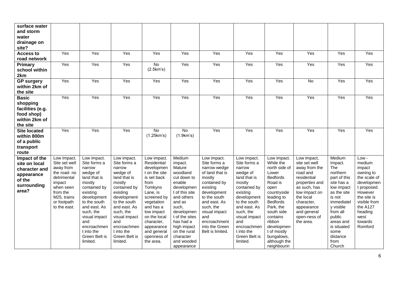| surface water<br>and storm<br>water<br>drainage on<br>site?<br><b>Access to</b><br>road network | Yes                                                                                                                                                       | Yes                                                                                                                                                                                                                                                   | Yes                                                                                                                                                                                                                                                   | Yes                                                                                                                                                                                                                                                    | Yes                                                                                                                                                                                                                                                    | Yes                                                                                                                                                                                                                                            | Yes                                                                                                                                                                                                                                                   | Yes                                                                                                                                                                                                                                                                 | Yes                                                                                                                                                                                                              | Yes                                                                                                                                                                                                                          | Yes                                                                                                                                                                               |
|-------------------------------------------------------------------------------------------------|-----------------------------------------------------------------------------------------------------------------------------------------------------------|-------------------------------------------------------------------------------------------------------------------------------------------------------------------------------------------------------------------------------------------------------|-------------------------------------------------------------------------------------------------------------------------------------------------------------------------------------------------------------------------------------------------------|--------------------------------------------------------------------------------------------------------------------------------------------------------------------------------------------------------------------------------------------------------|--------------------------------------------------------------------------------------------------------------------------------------------------------------------------------------------------------------------------------------------------------|------------------------------------------------------------------------------------------------------------------------------------------------------------------------------------------------------------------------------------------------|-------------------------------------------------------------------------------------------------------------------------------------------------------------------------------------------------------------------------------------------------------|---------------------------------------------------------------------------------------------------------------------------------------------------------------------------------------------------------------------------------------------------------------------|------------------------------------------------------------------------------------------------------------------------------------------------------------------------------------------------------------------|------------------------------------------------------------------------------------------------------------------------------------------------------------------------------------------------------------------------------|-----------------------------------------------------------------------------------------------------------------------------------------------------------------------------------|
| Primary<br>school within<br>2km                                                                 | Yes                                                                                                                                                       | Yes                                                                                                                                                                                                                                                   | Yes                                                                                                                                                                                                                                                   | $\overline{N}$<br>(2.5km's)                                                                                                                                                                                                                            | Yes                                                                                                                                                                                                                                                    | Yes                                                                                                                                                                                                                                            | Yes                                                                                                                                                                                                                                                   | Yes                                                                                                                                                                                                                                                                 | Yes                                                                                                                                                                                                              | Yes                                                                                                                                                                                                                          | Yes                                                                                                                                                                               |
| <b>GP</b> surgery<br>within 2km of<br>the site                                                  | Yes                                                                                                                                                       | Yes                                                                                                                                                                                                                                                   | Yes                                                                                                                                                                                                                                                   | Yes                                                                                                                                                                                                                                                    | Yes                                                                                                                                                                                                                                                    | Yes                                                                                                                                                                                                                                            | Yes                                                                                                                                                                                                                                                   | Yes                                                                                                                                                                                                                                                                 | <b>No</b>                                                                                                                                                                                                        | Yes                                                                                                                                                                                                                          | Yes                                                                                                                                                                               |
| <b>Basic</b><br>shopping<br>facilities (e.g.<br>food shop)<br>within 2km of<br>the site         | Yes                                                                                                                                                       | Yes                                                                                                                                                                                                                                                   | Yes                                                                                                                                                                                                                                                   | Yes                                                                                                                                                                                                                                                    | Yes                                                                                                                                                                                                                                                    | Yes                                                                                                                                                                                                                                            | Yes                                                                                                                                                                                                                                                   | Yes                                                                                                                                                                                                                                                                 | Yes                                                                                                                                                                                                              | Yes                                                                                                                                                                                                                          | Yes                                                                                                                                                                               |
| <b>Site located</b><br>within 800m<br>of a public<br>transport<br>route                         | Yes                                                                                                                                                       | Yes                                                                                                                                                                                                                                                   | Yes                                                                                                                                                                                                                                                   | <b>No</b><br>(1.25km's)                                                                                                                                                                                                                                | No<br>(1.9km's)                                                                                                                                                                                                                                        | Yes                                                                                                                                                                                                                                            | Yes                                                                                                                                                                                                                                                   | Yes                                                                                                                                                                                                                                                                 | Yes                                                                                                                                                                                                              | Yes                                                                                                                                                                                                                          | Yes                                                                                                                                                                               |
| Impact of the<br>site on local<br>character and<br>appearance<br>of the<br>surrounding<br>area? | Low Impact.<br>Site set well<br>away from<br>the road- no<br>detrimental<br>impact<br>when seen<br>from the<br>M25, trains<br>or footpath<br>to the east. | Low impact.<br>Site forms a<br>narrow<br>wedge of<br>land that is<br>mostly<br>contained by<br>existing<br>development<br>to the south<br>and east. As<br>such, the<br>visual impact<br>and<br>encroachmen<br>t into the<br>Green Belt is<br>limited. | Low impact.<br>Site forms a<br>narrow<br>wedge of<br>land that is<br>mostly<br>contained by<br>existing<br>development<br>to the south<br>and east. As<br>such, the<br>visual impact<br>and<br>encroachmen<br>t into the<br>Green Belt is<br>limited. | Low impact.<br>Residential<br>developmen<br>t on the site<br>is set back<br>from<br>Tomkyns<br>Lane, is<br>screened by<br>vegetation<br>and has a<br>low impact<br>on the local<br>character,<br>appearance<br>and general<br>openness of<br>the area. | Medium<br>impact.<br>Mature<br>woodland<br>cut down to<br>enable<br>developmen<br>t of this site<br>and others<br>and as<br>such,<br>developmen<br>t of the sites<br>has had a<br>high impact<br>on the rural<br>character<br>and wooded<br>appearance | Low impact.<br>Site forms a<br>narrow wedge<br>of land that is<br>mostly<br>contained by<br>existing<br>development<br>to the south<br>and east. As<br>such, the<br>visual impact<br>and<br>encroachment<br>into the Green<br>Belt is limited. | Low impact.<br>Site forms a<br>narrow<br>wedge of<br>land that is<br>mostly<br>contained by<br>existing<br>development<br>to the south<br>and east. As<br>such, the<br>visual impact<br>and<br>encroachmen<br>t into the<br>Green Belt is<br>limited. | Low impact.<br>While the<br>north side of<br>Lower<br><b>Bedfords</b><br>Road is<br>open<br>countryside<br>leading to<br><b>Bedfords</b><br>Park, the<br>south side<br>contains<br>ribbon<br>developmen<br>t of mostly<br>bungalows,<br>although the<br>neighbourin | Low impact,<br>site set well<br>away from the<br>road and<br>residential<br>properties and<br>as such, has<br>low impact on<br>the local<br>character,<br>appearance<br>and general<br>open-ness of<br>the area. | Medium<br>Impact.<br>The<br>northern<br>part of this<br>site has a<br>low impact<br>as the site<br>is not<br>immediatel<br>y visible<br>from all<br>public<br>areas and<br>is situated<br>some<br>distance<br>from<br>Church | Low-<br>medium<br>impact<br>owning to<br>the scale of<br>developmen<br>t proposed.<br>However<br>the site is<br>visible from<br>the A127<br>heading<br>west<br>towards<br>Romford |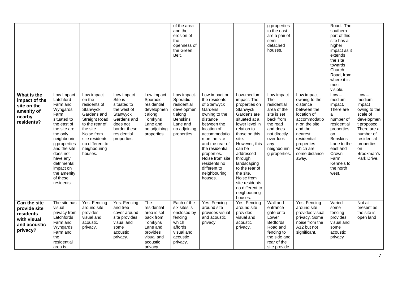|                                                                                      |                                                                                                                                                                                                                                                                |                                                                                                                                                                                                      |                                                                                                                                           |                                                                                                                         | of the area<br>and the<br>erosion of<br>the<br>openness of<br>the Green<br>Belt.                                              |                                                                                                                                                                                                                                                                                         |                                                                                                                                                                                                                                                                                                                                  | g properties<br>to the east<br>are a pair of<br>semi-<br>detached<br>houses.                                                                                             |                                                                                                                                                                                                  | Road. The<br>southern<br>part of this<br>site has a<br>higher<br>impact as it<br>extends<br>the site<br>towards<br>Church<br>Road, from<br>where it is<br>most<br>visible.                        |                                                                                                                                                                                  |
|--------------------------------------------------------------------------------------|----------------------------------------------------------------------------------------------------------------------------------------------------------------------------------------------------------------------------------------------------------------|------------------------------------------------------------------------------------------------------------------------------------------------------------------------------------------------------|-------------------------------------------------------------------------------------------------------------------------------------------|-------------------------------------------------------------------------------------------------------------------------|-------------------------------------------------------------------------------------------------------------------------------|-----------------------------------------------------------------------------------------------------------------------------------------------------------------------------------------------------------------------------------------------------------------------------------------|----------------------------------------------------------------------------------------------------------------------------------------------------------------------------------------------------------------------------------------------------------------------------------------------------------------------------------|--------------------------------------------------------------------------------------------------------------------------------------------------------------------------|--------------------------------------------------------------------------------------------------------------------------------------------------------------------------------------------------|---------------------------------------------------------------------------------------------------------------------------------------------------------------------------------------------------|----------------------------------------------------------------------------------------------------------------------------------------------------------------------------------|
| What is the<br>impact of the<br>site on the<br>amenity of<br>nearby<br>residents?    | Low Impact.<br>Latchford<br>Farm and<br>Wyngards<br>Farm<br>situated to<br>the east of<br>the site are<br>the only<br>neighbourin<br>g properties<br>and the site<br>does not<br>have any<br>detrimental<br>impact on<br>the amenity<br>of these<br>residents. | Low impact<br>on the<br>residents of<br>Stanwyck<br>Gardens and<br><b>Straight Road</b><br>to the rear of<br>the site.<br>Noise from<br>site residents<br>no different to<br>neighbouring<br>houses. | Low impact.<br>Site is<br>situated to<br>the west of<br>Stanwyck<br>Gardens and<br>does not<br>border these<br>residential<br>properties. | Low impact.<br>Sporadic<br>residential<br>developmen<br>t along<br>Tomkyns<br>Lane and<br>no adjoining<br>properties.   | Low impact-<br>Sporadic<br>residential<br>developmen<br>t along<br><b>Benskins</b><br>Lane and<br>no adjoining<br>properties. | Low impact on<br>the residents<br>of Stanwyck<br>Gardens<br>owning to the<br>distance<br>between the<br>location of<br>accommodatio<br>n on the site<br>and the rear of<br>the residential<br>properties.<br>Noise from site<br>residents no<br>different to<br>neighbouring<br>houses. | Low-medium<br>impact. The<br>properties on<br>Stanwyck<br>Gardens are<br>situated at a<br>lower level in<br>relation to<br>those on this<br>site.<br>However, this<br>can be<br>addressed<br>through<br>landscaping<br>to the rear of<br>the site.<br>Noise from<br>site residents<br>no different to<br>neighbouring<br>houses. | Low impact.<br>The<br>residential<br>area of the<br>site is set<br>back from<br>the road<br>and does<br>not directly<br>over-look<br>any<br>neighbourin<br>g properties. | Low impact<br>owning to the<br>distance<br>between the<br>location of<br>accommodatio<br>n on the site<br>and the<br>nearest<br>residential<br>properties<br>which are<br>some distance<br>away. | $Low -$<br>medium<br>impact.<br>There are<br>a<br>number of<br>residential<br>properties<br>on<br><b>Benskins</b><br>Lane to the<br>east and<br>Crown<br>Farm<br>Kennels to<br>the north<br>west. | $Low -$<br>medium<br>impact<br>owing to the<br>scale of<br>developmen<br>t proposed.<br>There are a<br>number of<br>residential<br>properties<br>on<br>Brookman's<br>Park Drive. |
| Can the site<br>provide site<br>residents<br>with visual<br>and acoustic<br>privacy? | The site has<br>visual<br>privacy from<br>Latchfords<br>Farm and<br>Wyngards<br>Farm and<br>the<br>residential<br>area is                                                                                                                                      | Yes. Fencing<br>around site<br>provides<br>visual and<br>acoustic<br>privacy.                                                                                                                        | Yes. Fencing<br>and tree<br>cover around<br>site provides<br>visual and<br>some<br>acoustic<br>privacy.                                   | The<br>residential<br>area is set<br>back from<br>Tomkyns<br>Lane and<br>provides<br>visual and<br>acoustic<br>privacy. | Each of the<br>six sites is<br>enclosed by<br>fencing<br>which<br>affords<br>visual and<br>acoustic<br>privacy.               | Yes. Fencing<br>around site<br>provides visual<br>and acoustic<br>privacy.                                                                                                                                                                                                              | Yes. Fencing<br>around site<br>provides<br>visual and<br>acoustic<br>privacy.                                                                                                                                                                                                                                                    | Wall and<br>entrance<br>gate onto<br>Lower<br><b>Bedfords</b><br>Road and<br>fencing to<br>the side and<br>rear of the<br>site provide                                   | Yes. Fencing<br>around site<br>provides visual<br>privacy. Some<br>noise from the<br>A12 but not<br>significant.                                                                                 | Varied -<br>some<br>fencing<br>provides<br>visual and<br>some<br>acoustic<br>privacy                                                                                                              | Not at<br>present as<br>the site is<br>open land                                                                                                                                 |